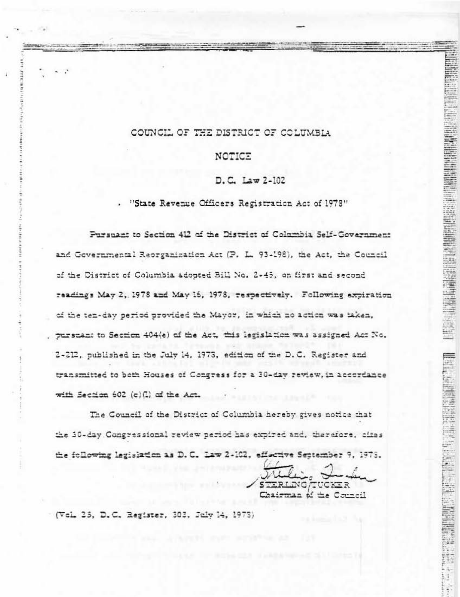## COUNCIL OF THE DISTRICT OF COLUMBIA

18.11

Ē

### NOTICE

#### D.C. Law 2-102

. "State Revenue Officers Registration Act of 1978"

Pursuant to Section 412 of the District of Columbia Self-Government and Governmental Reorganization Act (P. L. 93-198), the Act, the Council of the District of Columbia adopted Bill No. 2-45, on first and second readings May 2, 1978 and May 16, 1978, respectively. Following expiration of the ten-day period provided the Mayor, in which no action was taken. purstant to Section 404(e) of the Act, this legislation was assigned Act No. 2-212, published in the July 14, 1973, edition of the D.C. Register and transmitted to both Houses of Congress for a 30-day review, in accordance with Section 602 (c)(.) of the Act.

The Council of the District of Columbia hereby gives notice that the 30-day Congressional review period has expired and, therefore, cites the following legislation as D.C. Law 2-102, effective September 9, 1978.

STERLING UCKER Chairman of the Council

ā

**Designation of the company of the company of the company of the company of the company of the company of the company of the company of the company of the company of the company of the company of the company of the company** 

(Vol. 25, D.C. Register, 303, July 14, 1973)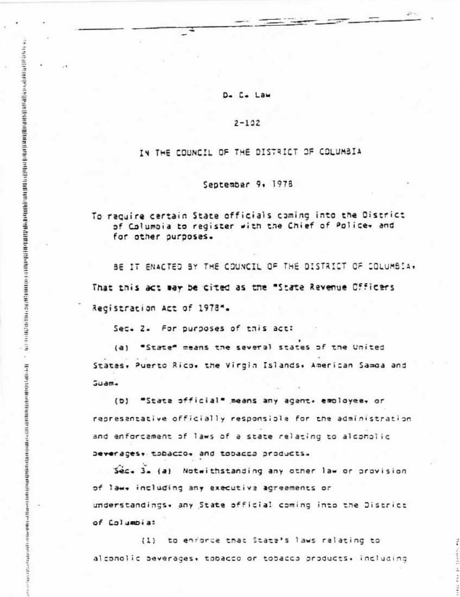# D. C. Law

#### $2 - 192$

# IN THE COUNCIL OF THE DISTRICT OF COLUMBIA

## September 9, 1978

# To raquire certain State officials coming into the District of Columbia to register with the Chief of Police+ and for other purposes.

BE IT ENACTED BY THE COUNCIL OF THE DISTRICT OF COLUMBIA. That this act way be cited as the "State Revenue Officers Registration Act of 1978".

Sec. Z. For purposes of this act:

o o contra conseguidade por portural podera complementar por el complementar complementar o conseguidade o con

 $\epsilon$ 

H-RED NONDROURING THE PROPERTY OF THE PERSON DEPARTMENT OF A REPORT OF THE PROPERTY OF THE PROPERTY OF

"State" means the several states of the United  $(a)$ States, Puerto Rico, the Virgin Islands, American Samoa and Guam.

(b) "State official" means any agent. employee. or representative officially responsible for the administration and enforcament of laws of a state relating to alconolic Deverages+ tobacco+ and tobacco products.

Sec. 3. (a) Notwithstanding any other law or provision of law, including any executive agreements or understandings. any State official coming into the District of Columbia:

(1) to enforce that State's laws relating to alconolic beverages. tobacco or tobacco products. including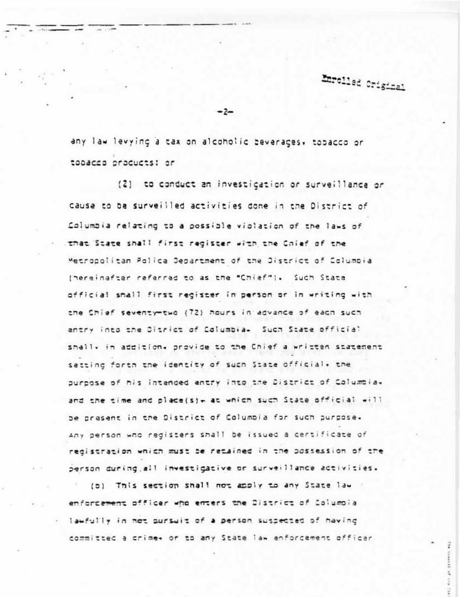Emrolled Original

any law levying a tax on alcoholic beverages, tobacco or tobacco products: or

 $-2-$ 

(2) to conduct an investigation or surveillance or cause to be surveilled activities done in the District of Columbia relating to a possible violation of the laws of that State shall first redister with the Chief of the Metropolitan Palica Department of the District of Columbia (hereinafter referred to as the "Chief"). Such State official small first register in person or in writing with the Chief seventy-two (72) hours in advance of each such antry into the Ditrict of Columbia. Such State official shall, in addition, provide to the Chief a written statement setting forth the identity of such State official, the ournose of his intended entry into the District of Columbia. and the time and place(s)+ at which such State official will be present in the District of Columbia for such purpose. Any person who registers shall be issued a certificate of redistration which must be retained in the possession of the person during all investigative or surveillance activities.

(b) This section shall not apply to any State law enforcement officer who enters the District of Columbia lawfully in not pursuit of a person suspected of having committed a crime+ or to any State law enforcement officer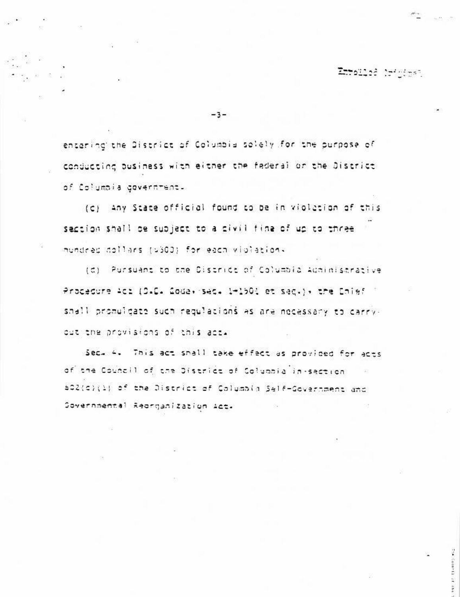Emplied brights?

 $-3-$ 

encaring the District of Columbia solely for the purpose of conducting business with either the federal or the District of Columbia government.

(c) any State official found to be in violation of this saction shall be subject to a civil fina of up to three inundred dollars (5300) for each violations

(d) Pursuant to the Cistrict of Columbia Administrative Procedure Act (D.C. 2008, sec. 1-150) et sec.), the Chief shall promulgate such regulations as are necessary to carryout the provisions of this act.

Sec. 4. This act shall take effect as provided for acts of the Council of the District of Columbia in-section 502(c)(1) of the District of Columbia Self-Government and Sovernmental Reorganization Act-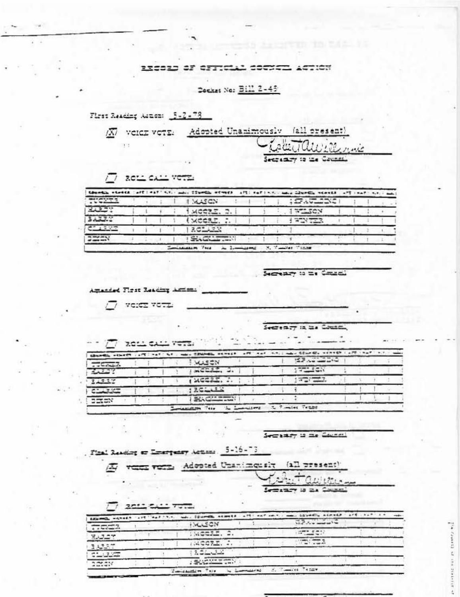## 110013 OF OFFICIAL COUNCIL ACTION

Decket No: Bill 2-45

First Reading Autom: 5-2-78 XV voich vote: Adopted Unanimously (all present)  $\mathcal{M}$ Willmie Sectionry to the Council.

 $\sqrt{7}$  ROLL CALL VOTE

| thosell steets (eff   ext   t.t. and   Itemil, street   aft; sell-t.t. and illustic steets   aft   saf   t.t.   and |  |  |              |  |  |            |  |  |
|---------------------------------------------------------------------------------------------------------------------|--|--|--------------|--|--|------------|--|--|
| <b>TUGHEE</b>                                                                                                       |  |  | <b>MASCN</b> |  |  | : 3.522225 |  |  |
| 30227                                                                                                               |  |  | MGEZZ, Z     |  |  | 17220      |  |  |
| 3,375                                                                                                               |  |  | (XCCSL,      |  |  | FANTON     |  |  |
| C1337                                                                                                               |  |  | 201423       |  |  |            |  |  |
| 2222N                                                                                                               |  |  | Six Chairman |  |  |            |  |  |

Secretary to the Constal

 $\rightarrow$ 

Amanded First Reading Actions

 $77$  verse vota

Secretary in the Country

|             |  |  |                  |  |  | Church, where Just hat he cases from severe and man which church convert and can be a set |  |  |  |
|-------------|--|--|------------------|--|--|-------------------------------------------------------------------------------------------|--|--|--|
| 7.46747     |  |  | <b>WASCN</b>     |  |  | <b>SPACIFICATION</b>                                                                      |  |  |  |
| $-2.337$    |  |  | mC222, 2.        |  |  | $77 - 500$                                                                                |  |  |  |
| 2.917       |  |  | 120022. J.       |  |  | <b>STATISTICS</b>                                                                         |  |  |  |
| COUNTERS OF |  |  | $125 - 12$       |  |  |                                                                                           |  |  |  |
| <b>EXEM</b> |  |  | <b>SACHINERY</b> |  |  |                                                                                           |  |  |  |

Secrety is me Cauncil

First Reading or Emergency Actions. 5-16-73

A veen vern Adopted Unanimously (all present)

entavinos Semanary is as Council

 $17.201254127372$ 

|        |  |  |                |  |  | EXEMPLE HOWER LITTING FIRE SALE DESCRIPTION ARRESTS AND CONTROLLED AND CONSUMER ASSAULT AND CALCULATED |  |  |
|--------|--|--|----------------|--|--|--------------------------------------------------------------------------------------------------------|--|--|
| 779222 |  |  | <b>HALLSON</b> |  |  | $\sum_{i=1}^{n} f(x_i) = \max\{f(x_i)\}$                                                               |  |  |
| 35.227 |  |  | MCCIL 2.       |  |  | $-1000 - 500$                                                                                          |  |  |
| 3,557  |  |  | MCCLE.         |  |  |                                                                                                        |  |  |
| 22.327 |  |  | 204022         |  |  |                                                                                                        |  |  |
| actest |  |  | <b>SECTION</b> |  |  | <b>S. Tamiles Tenge</b>                                                                                |  |  |

TA Classica at :